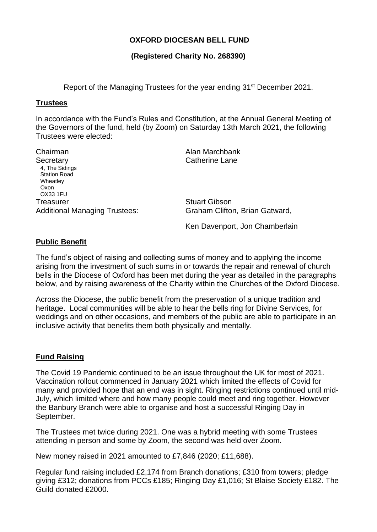## **OXFORD DIOCESAN BELL FUND**

### **(Registered Charity No. 268390)**

Report of the Managing Trustees for the year ending 31<sup>st</sup> December 2021.

#### **Trustees**

In accordance with the Fund's Rules and Constitution, at the Annual General Meeting of the Governors of the fund, held (by Zoom) on Saturday 13th March 2021, the following Trustees were elected:

| Chairman                             | Alan Marchbank                 |
|--------------------------------------|--------------------------------|
| Secretary                            | Catherine Lane                 |
| 4, The Sidings                       |                                |
| <b>Station Road</b>                  |                                |
| Wheatley                             |                                |
| Oxon                                 |                                |
| <b>OX33 1FU</b>                      |                                |
| <b>Treasurer</b>                     | <b>Stuart Gibson</b>           |
| <b>Additional Managing Trustees:</b> | Graham Clifton, Brian Gatward, |
|                                      |                                |

Ken Davenport, Jon Chamberlain

#### **Public Benefit**

The fund's object of raising and collecting sums of money and to applying the income arising from the investment of such sums in or towards the repair and renewal of church bells in the Diocese of Oxford has been met during the year as detailed in the paragraphs below, and by raising awareness of the Charity within the Churches of the Oxford Diocese.

Across the Diocese, the public benefit from the preservation of a unique tradition and heritage. Local communities will be able to hear the bells ring for Divine Services, for weddings and on other occasions, and members of the public are able to participate in an inclusive activity that benefits them both physically and mentally.

#### **Fund Raising**

The Covid 19 Pandemic continued to be an issue throughout the UK for most of 2021. Vaccination rollout commenced in January 2021 which limited the effects of Covid for many and provided hope that an end was in sight. Ringing restrictions continued until mid-July, which limited where and how many people could meet and ring together. However the Banbury Branch were able to organise and host a successful Ringing Day in September.

The Trustees met twice during 2021. One was a hybrid meeting with some Trustees attending in person and some by Zoom, the second was held over Zoom.

New money raised in 2021 amounted to £7,846 (2020; £11,688).

Regular fund raising included £2,174 from Branch donations; £310 from towers; pledge giving £312; donations from PCCs £185; Ringing Day £1,016; St Blaise Society £182. The Guild donated £2000.